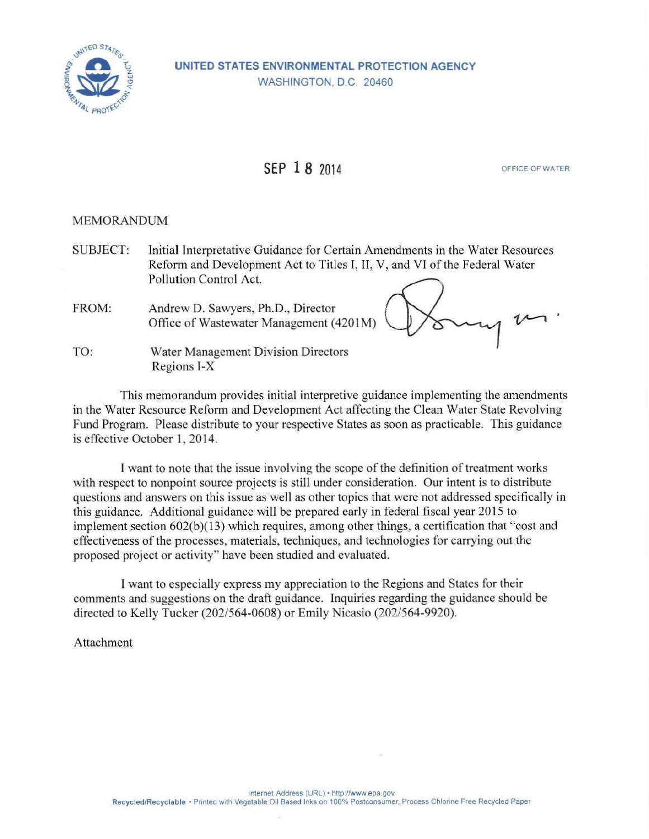

# **SEP 1 8 2014** OFFICE OF WATER

### MEMORANDUM

SUBJECT: Initial Interpretative Guidance for Certain Amendments in the Water Resources Reform and Development Act to Titles I, II, V, and VI of the Federal Water Pollution Control Act.

FROM: Andrew D. Sawyers, Ph.D., Director Office of Wastewater Management (4201M)

TO: Water Management Division Directors Regions I-X

This memorandum provides initial interpretive guidance implementing the amendments in the Water Resource Reform and Development Act affecting the Clean Water State Revolving Fund Program. Please distribute to your respective States as soon as practicable. This guidance is effective October 1, 2014.

I want to note that the issue involving the scope of the definition of treatment works with respect to nonpoint source projects is still under consideration. Our intent is to distribute questions and answers on this issue as well as other topics that were not addressed specifically in this guidance. Additional guidance will be prepared early in federal fiscal year 2015 to implement section  $602(b)(13)$  which requires, among other things, a certification that "cost and effectiveness of the processes, materials, techniques, and technologies for carrying out the proposed project or activity" have been studied and evaluated.

I want to especially express my appreciation to the Regions and States for their comments and suggestions on the draft guidance. Inquiries regarding the guidance should be directed to Kelly Tucker (202/564-0608) or Emily Nicasio (202/564-9920).

Attachment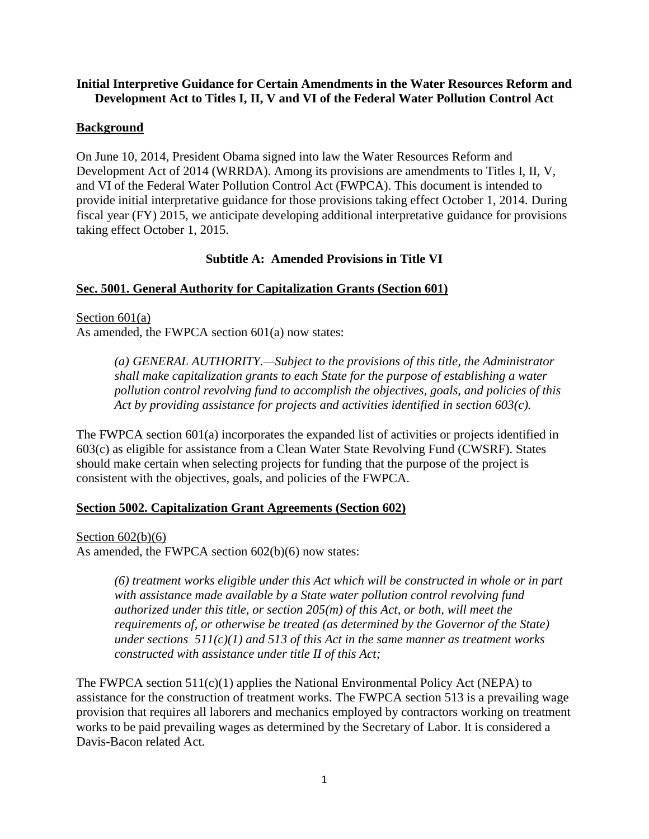### **Initial Interpretive Guidance for Certain Amendments in the Water Resources Reform and Development Act to Titles I, II, V and VI of the Federal Water Pollution Control Act**

### **Background**

On June 10, 2014, President Obama signed into law the Water Resources Reform and Development Act of 2014 (WRRDA). Among its provisions are amendments to Titles I, II, V, and VI of the Federal Water Pollution Control Act (FWPCA). This document is intended to provide initial interpretative guidance for those provisions taking effect October 1, 2014. During fiscal year (FY) 2015, we anticipate developing additional interpretative guidance for provisions taking effect October 1, 2015.

### **Subtitle A: Amended Provisions in Title VI**

### **Sec. 5001. General Authority for Capitalization Grants (Section 601)**

Section 601(a) As amended, the FWPCA section 601(a) now states:

> *(a) GENERAL AUTHORITY.—Subject to the provisions of this title, the Administrator shall make capitalization grants to each State for the purpose of establishing a water pollution control revolving fund to accomplish the objectives, goals, and policies of this Act by providing assistance for projects and activities identified in section 603(c).*

The FWPCA section 601(a) incorporates the expanded list of activities or projects identified in 603(c) as eligible for assistance from a Clean Water State Revolving Fund (CWSRF). States should make certain when selecting projects for funding that the purpose of the project is consistent with the objectives, goals, and policies of the FWPCA.

### **Section 5002. Capitalization Grant Agreements (Section 602)**

Section  $602(b)(6)$ 

As amended, the FWPCA section 602(b)(6) now states:

*(6) treatment works eligible under this Act which will be constructed in whole or in part with assistance made available by a State water pollution control revolving fund authorized under this title, or section 205(m) of this Act, or both, will meet the requirements of, or otherwise be treated (as determined by the Governor of the State) under sections 511(c)(1) and 513 of this Act in the same manner as treatment works constructed with assistance under title II of this Act;*

The FWPCA section  $511(c)(1)$  applies the National Environmental Policy Act (NEPA) to assistance for the construction of treatment works. The FWPCA section 513 is a prevailing wage provision that requires all laborers and mechanics employed by contractors working on treatment works to be paid prevailing wages as determined by the Secretary of Labor. It is considered a Davis-Bacon related Act.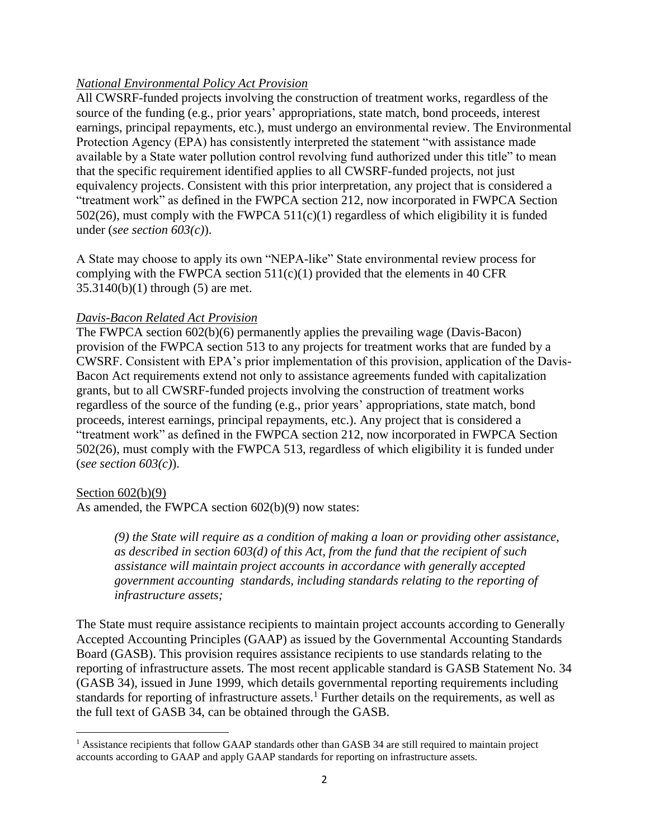### *National Environmental Policy Act Provision*

All CWSRF-funded projects involving the construction of treatment works, regardless of the source of the funding (e.g., prior years' appropriations, state match, bond proceeds, interest earnings, principal repayments, etc.), must undergo an environmental review. The Environmental Protection Agency (EPA) has consistently interpreted the statement "with assistance made available by a State water pollution control revolving fund authorized under this title" to mean that the specific requirement identified applies to all CWSRF-funded projects, not just equivalency projects. Consistent with this prior interpretation, any project that is considered a "treatment work" as defined in the FWPCA section 212, now incorporated in FWPCA Section 502(26), must comply with the FWPCA 511(c)(1) regardless of which eligibility it is funded under (*see section 603(c)*).

A State may choose to apply its own "NEPA-like" State environmental review process for complying with the FWPCA section  $511(c)(1)$  provided that the elements in 40 CFR 35.3140(b)(1) through (5) are met.

### *Davis-Bacon Related Act Provision*

The FWPCA section 602(b)(6) permanently applies the prevailing wage (Davis-Bacon) provision of the FWPCA section 513 to any projects for treatment works that are funded by a CWSRF. Consistent with EPA's prior implementation of this provision, application of the Davis-Bacon Act requirements extend not only to assistance agreements funded with capitalization grants, but to all CWSRF-funded projects involving the construction of treatment works regardless of the source of the funding (e.g., prior years' appropriations, state match, bond proceeds, interest earnings, principal repayments, etc.). Any project that is considered a "treatment work" as defined in the FWPCA section 212, now incorporated in FWPCA Section 502(26), must comply with the FWPCA 513, regardless of which eligibility it is funded under (*see section 603(c)*).

#### Section  $602(b)(9)$

 $\overline{\phantom{a}}$ 

As amended, the FWPCA section 602(b)(9) now states:

*(9) the State will require as a condition of making a loan or providing other assistance, as described in section 603(d) of this Act, from the fund that the recipient of such assistance will maintain project accounts in accordance with generally accepted government accounting standards, including standards relating to the reporting of infrastructure assets;*

The State must require assistance recipients to maintain project accounts according to Generally Accepted Accounting Principles (GAAP) as issued by the Governmental Accounting Standards Board (GASB). This provision requires assistance recipients to use standards relating to the reporting of infrastructure assets. The most recent applicable standard is GASB Statement No. 34 (GASB 34), issued in June 1999, which details governmental reporting requirements including standards for reporting of infrastructure assets.<sup>1</sup> Further details on the requirements, as well as the full text of GASB 34, can be obtained through the GASB.

<sup>&</sup>lt;sup>1</sup> Assistance recipients that follow GAAP standards other than GASB 34 are still required to maintain project accounts according to GAAP and apply GAAP standards for reporting on infrastructure assets.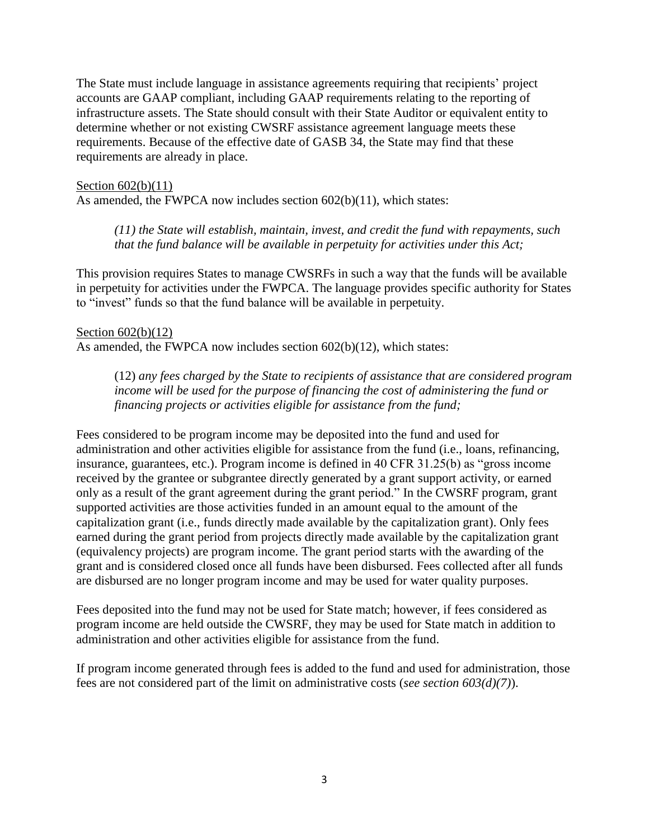The State must include language in assistance agreements requiring that recipients' project accounts are GAAP compliant, including GAAP requirements relating to the reporting of infrastructure assets. The State should consult with their State Auditor or equivalent entity to determine whether or not existing CWSRF assistance agreement language meets these requirements. Because of the effective date of GASB 34, the State may find that these requirements are already in place.

#### Section 602(b)(11)

As amended, the FWPCA now includes section  $602(b)(11)$ , which states:

*(11) the State will establish, maintain, invest, and credit the fund with repayments, such that the fund balance will be available in perpetuity for activities under this Act;*

This provision requires States to manage CWSRFs in such a way that the funds will be available in perpetuity for activities under the FWPCA. The language provides specific authority for States to "invest" funds so that the fund balance will be available in perpetuity.

#### Section 602(b)(12)

As amended, the FWPCA now includes section 602(b)(12), which states:

(12) *any fees charged by the State to recipients of assistance that are considered program income will be used for the purpose of financing the cost of administering the fund or financing projects or activities eligible for assistance from the fund;*

Fees considered to be program income may be deposited into the fund and used for administration and other activities eligible for assistance from the fund (i.e., loans, refinancing, insurance, guarantees, etc.). Program income is defined in 40 CFR 31.25(b) as "gross income received by the grantee or subgrantee directly generated by a grant support activity, or earned only as a result of the grant agreement during the grant period." In the CWSRF program, grant supported activities are those activities funded in an amount equal to the amount of the capitalization grant (i.e., funds directly made available by the capitalization grant). Only fees earned during the grant period from projects directly made available by the capitalization grant (equivalency projects) are program income. The grant period starts with the awarding of the grant and is considered closed once all funds have been disbursed. Fees collected after all funds are disbursed are no longer program income and may be used for water quality purposes.

Fees deposited into the fund may not be used for State match; however, if fees considered as program income are held outside the CWSRF, they may be used for State match in addition to administration and other activities eligible for assistance from the fund.

If program income generated through fees is added to the fund and used for administration, those fees are not considered part of the limit on administrative costs (*see section 603(d)(7)*).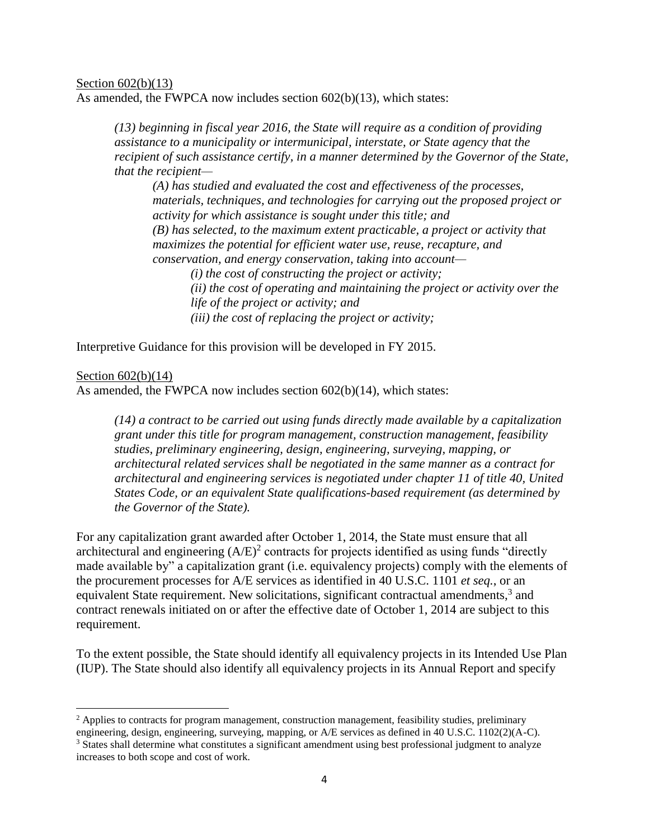#### Section 602(b)(13)

As amended, the FWPCA now includes section 602(b)(13), which states:

*(13) beginning in fiscal year 2016, the State will require as a condition of providing assistance to a municipality or intermunicipal, interstate, or State agency that the recipient of such assistance certify, in a manner determined by the Governor of the State, that the recipient—*

*(A) has studied and evaluated the cost and effectiveness of the processes, materials, techniques, and technologies for carrying out the proposed project or activity for which assistance is sought under this title; and (B) has selected, to the maximum extent practicable, a project or activity that maximizes the potential for efficient water use, reuse, recapture, and conservation, and energy conservation, taking into account— (i) the cost of constructing the project or activity;*

*(ii) the cost of operating and maintaining the project or activity over the life of the project or activity; and (iii) the cost of replacing the project or activity;*

Interpretive Guidance for this provision will be developed in FY 2015.

#### Section 602(b)(14)

 $\overline{\phantom{a}}$ 

As amended, the FWPCA now includes section 602(b)(14), which states:

*(14) a contract to be carried out using funds directly made available by a capitalization grant under this title for program management, construction management, feasibility studies, preliminary engineering, design, engineering, surveying, mapping, or architectural related services shall be negotiated in the same manner as a contract for architectural and engineering services is negotiated under chapter 11 of title 40, United States Code, or an equivalent State qualifications-based requirement (as determined by the Governor of the State).*

For any capitalization grant awarded after October 1, 2014, the State must ensure that all architectural and engineering  $(A/E)^2$  contracts for projects identified as using funds "directly made available by" a capitalization grant (i.e. equivalency projects) comply with the elements of the procurement processes for A/E services as identified in 40 U.S.C. 1101 *et seq.*, or an equivalent State requirement. New solicitations, significant contractual amendments,<sup>3</sup> and contract renewals initiated on or after the effective date of October 1, 2014 are subject to this requirement.

To the extent possible, the State should identify all equivalency projects in its Intended Use Plan (IUP). The State should also identify all equivalency projects in its Annual Report and specify

 $<sup>2</sup>$  Applies to contracts for program management, construction management, feasibility studies, preliminary</sup>

engineering, design, engineering, surveying, mapping, or A/E services as defined in 40 U.S.C. 1102(2)(A-C). <sup>3</sup> States shall determine what constitutes a significant amendment using best professional judgment to analyze increases to both scope and cost of work.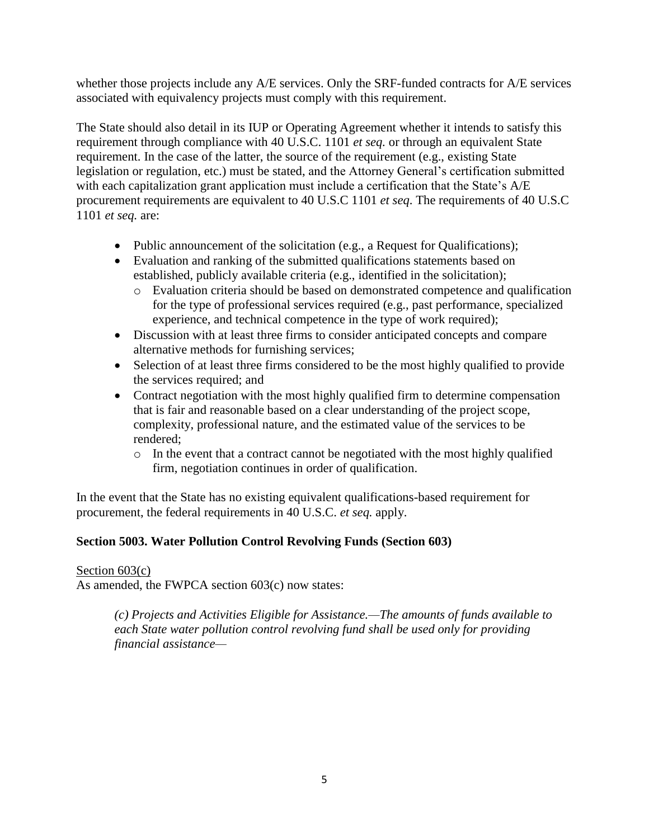whether those projects include any A/E services. Only the SRF-funded contracts for A/E services associated with equivalency projects must comply with this requirement.

The State should also detail in its IUP or Operating Agreement whether it intends to satisfy this requirement through compliance with 40 U.S.C. 1101 *et seq.* or through an equivalent State requirement. In the case of the latter, the source of the requirement (e.g., existing State legislation or regulation, etc.) must be stated, and the Attorney General's certification submitted with each capitalization grant application must include a certification that the State's A/E procurement requirements are equivalent to 40 U.S.C 1101 *et seq*. The requirements of 40 U.S.C 1101 *et seq.* are:

- Public announcement of the solicitation (e.g., a Request for Qualifications);
- Evaluation and ranking of the submitted qualifications statements based on established, publicly available criteria (e.g., identified in the solicitation);
	- o Evaluation criteria should be based on demonstrated competence and qualification for the type of professional services required (e.g., past performance, specialized experience, and technical competence in the type of work required);
- Discussion with at least three firms to consider anticipated concepts and compare alternative methods for furnishing services;
- Selection of at least three firms considered to be the most highly qualified to provide the services required; and
- Contract negotiation with the most highly qualified firm to determine compensation that is fair and reasonable based on a clear understanding of the project scope, complexity, professional nature, and the estimated value of the services to be rendered;
	- o In the event that a contract cannot be negotiated with the most highly qualified firm, negotiation continues in order of qualification.

In the event that the State has no existing equivalent qualifications-based requirement for procurement, the federal requirements in 40 U.S.C. *et seq.* apply.

# **Section 5003. Water Pollution Control Revolving Funds (Section 603)**

Section 603(c) As amended, the FWPCA section 603(c) now states:

> *(c) Projects and Activities Eligible for Assistance.—The amounts of funds available to each State water pollution control revolving fund shall be used only for providing financial assistance—*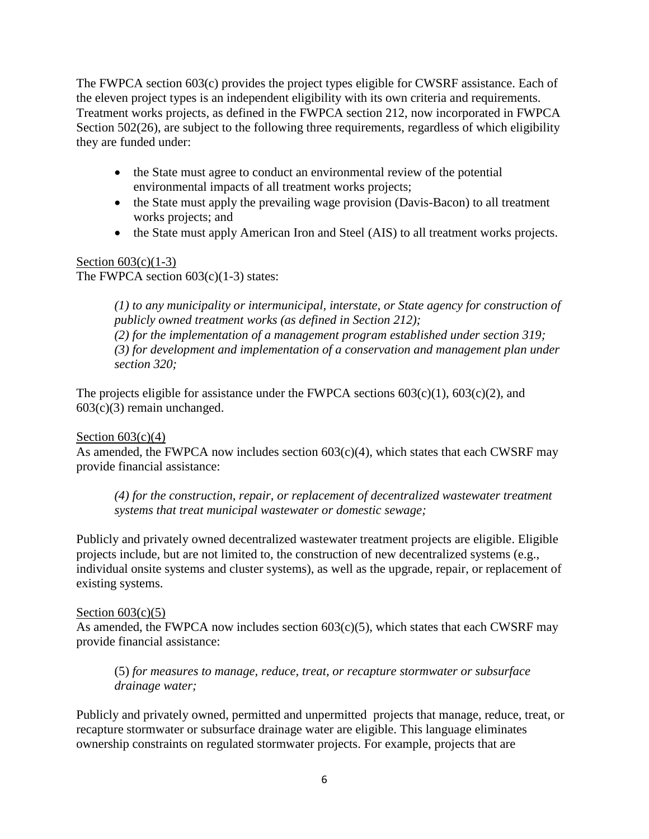The FWPCA section 603(c) provides the project types eligible for CWSRF assistance. Each of the eleven project types is an independent eligibility with its own criteria and requirements. Treatment works projects, as defined in the FWPCA section 212, now incorporated in FWPCA Section 502(26), are subject to the following three requirements, regardless of which eligibility they are funded under:

- the State must agree to conduct an environmental review of the potential environmental impacts of all treatment works projects;
- the State must apply the prevailing wage provision (Davis-Bacon) to all treatment works projects; and
- the State must apply American Iron and Steel (AIS) to all treatment works projects.

# Section  $603(c)(1-3)$

The FWPCA section  $603(c)(1-3)$  states:

*(1) to any municipality or intermunicipal, interstate, or State agency for construction of publicly owned treatment works (as defined in Section 212); (2) for the implementation of a management program established under section 319; (3) for development and implementation of a conservation and management plan under section 320;* 

The projects eligible for assistance under the FWPCA sections  $603(c)(1)$ ,  $603(c)(2)$ , and 603(c)(3) remain unchanged.

### Section  $603(c)(4)$

As amended, the FWPCA now includes section  $603(c)(4)$ , which states that each CWSRF may provide financial assistance:

*(4) for the construction, repair, or replacement of decentralized wastewater treatment systems that treat municipal wastewater or domestic sewage;*

Publicly and privately owned decentralized wastewater treatment projects are eligible. Eligible projects include, but are not limited to, the construction of new decentralized systems (e.g., individual onsite systems and cluster systems), as well as the upgrade, repair, or replacement of existing systems.

#### Section  $603(c)(5)$

As amended, the FWPCA now includes section  $603(c)(5)$ , which states that each CWSRF may provide financial assistance:

(5) *for measures to manage, reduce, treat, or recapture stormwater or subsurface drainage water;*

Publicly and privately owned, permitted and unpermitted projects that manage, reduce, treat, or recapture stormwater or subsurface drainage water are eligible. This language eliminates ownership constraints on regulated stormwater projects. For example, projects that are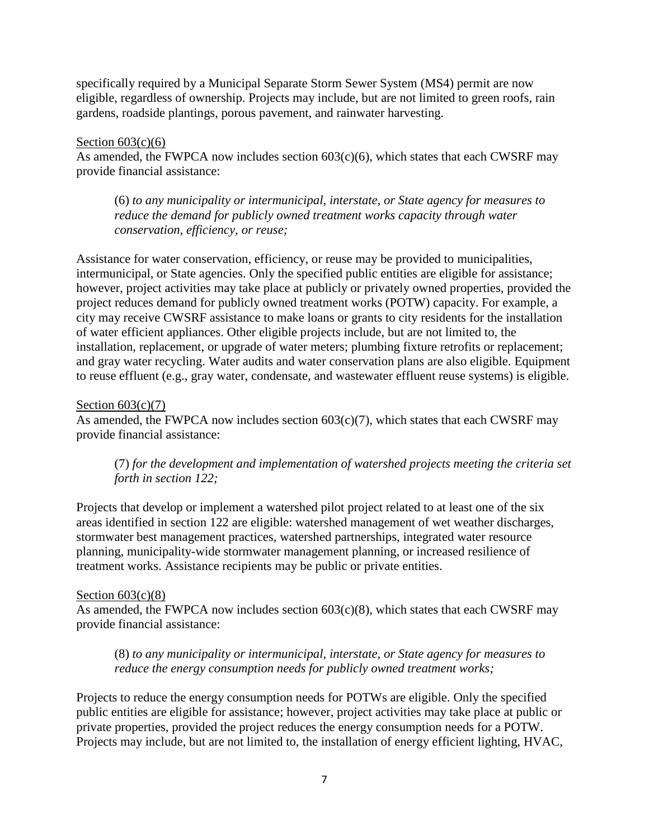specifically required by a Municipal Separate Storm Sewer System (MS4) permit are now eligible, regardless of ownership. Projects may include, but are not limited to green roofs, rain gardens, roadside plantings, porous pavement, and rainwater harvesting.

#### Section  $603(c)(6)$

As amended, the FWPCA now includes section 603(c)(6), which states that each CWSRF may provide financial assistance:

(6) *to any municipality or intermunicipal, interstate, or State agency for measures to reduce the demand for publicly owned treatment works capacity through water conservation, efficiency, or reuse;*

Assistance for water conservation, efficiency, or reuse may be provided to municipalities, intermunicipal, or State agencies. Only the specified public entities are eligible for assistance; however, project activities may take place at publicly or privately owned properties, provided the project reduces demand for publicly owned treatment works (POTW) capacity. For example, a city may receive CWSRF assistance to make loans or grants to city residents for the installation of water efficient appliances. Other eligible projects include, but are not limited to, the installation, replacement, or upgrade of water meters; plumbing fixture retrofits or replacement; and gray water recycling. Water audits and water conservation plans are also eligible. Equipment to reuse effluent (e.g., gray water, condensate, and wastewater effluent reuse systems) is eligible.

### Section  $603(c)(7)$

As amended, the FWPCA now includes section 603(c)(7), which states that each CWSRF may provide financial assistance:

(7) *for the development and implementation of watershed projects meeting the criteria set forth in section 122;*

Projects that develop or implement a watershed pilot project related to at least one of the six areas identified in section 122 are eligible: watershed management of wet weather discharges, stormwater best management practices, watershed partnerships, integrated water resource planning, municipality-wide stormwater management planning, or increased resilience of treatment works. Assistance recipients may be public or private entities.

### Section  $603(c)(8)$

As amended, the FWPCA now includes section 603(c)(8), which states that each CWSRF may provide financial assistance:

(8) *to any municipality or intermunicipal, interstate, or State agency for measures to reduce the energy consumption needs for publicly owned treatment works;*

Projects to reduce the energy consumption needs for POTWs are eligible. Only the specified public entities are eligible for assistance; however, project activities may take place at public or private properties, provided the project reduces the energy consumption needs for a POTW. Projects may include, but are not limited to, the installation of energy efficient lighting, HVAC,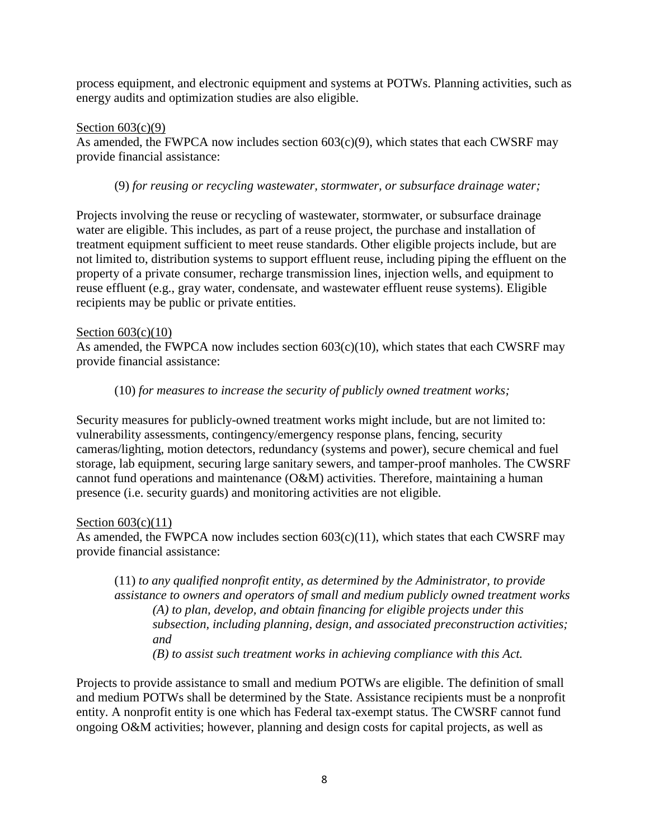process equipment, and electronic equipment and systems at POTWs. Planning activities, such as energy audits and optimization studies are also eligible.

#### Section  $603(c)(9)$

As amended, the FWPCA now includes section  $603(c)(9)$ , which states that each CWSRF may provide financial assistance:

### (9) *for reusing or recycling wastewater, stormwater, or subsurface drainage water;*

Projects involving the reuse or recycling of wastewater, stormwater, or subsurface drainage water are eligible. This includes, as part of a reuse project, the purchase and installation of treatment equipment sufficient to meet reuse standards. Other eligible projects include, but are not limited to, distribution systems to support effluent reuse, including piping the effluent on the property of a private consumer, recharge transmission lines, injection wells, and equipment to reuse effluent (e.g., gray water, condensate, and wastewater effluent reuse systems). Eligible recipients may be public or private entities.

### Section 603(c)(10)

As amended, the FWPCA now includes section  $603(c)(10)$ , which states that each CWSRF may provide financial assistance:

### (10) *for measures to increase the security of publicly owned treatment works;*

Security measures for publicly-owned treatment works might include, but are not limited to: vulnerability assessments, contingency/emergency response plans, fencing, security cameras/lighting, motion detectors, redundancy (systems and power), secure chemical and fuel storage, lab equipment, securing large sanitary sewers, and tamper-proof manholes. The CWSRF cannot fund operations and maintenance (O&M) activities. Therefore, maintaining a human presence (i.e. security guards) and monitoring activities are not eligible.

#### Section  $603(c)(11)$

As amended, the FWPCA now includes section  $603(c)(11)$ , which states that each CWSRF may provide financial assistance:

(11) *to any qualified nonprofit entity, as determined by the Administrator, to provide assistance to owners and operators of small and medium publicly owned treatment works (A) to plan, develop, and obtain financing for eligible projects under this subsection, including planning, design, and associated preconstruction activities; and (B) to assist such treatment works in achieving compliance with this Act.*

Projects to provide assistance to small and medium POTWs are eligible. The definition of small and medium POTWs shall be determined by the State. Assistance recipients must be a nonprofit entity. A nonprofit entity is one which has Federal tax-exempt status. The CWSRF cannot fund ongoing O&M activities; however, planning and design costs for capital projects, as well as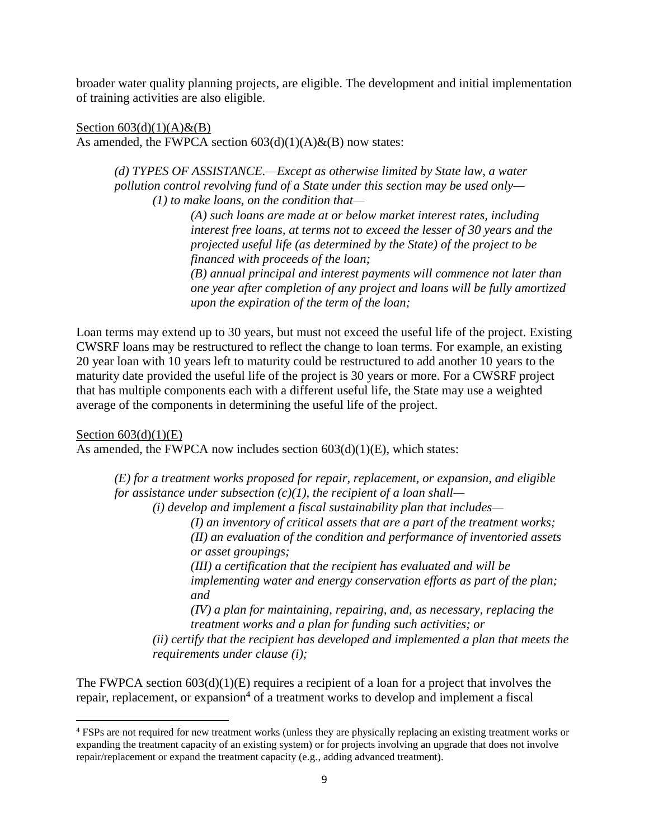broader water quality planning projects, are eligible. The development and initial implementation of training activities are also eligible.

Section  $603(d)(1)(A) \& (B)$ As amended, the FWPCA section  $603(d)(1)(A) \& (B)$  now states:

> *(d) TYPES OF ASSISTANCE.—Except as otherwise limited by State law, a water pollution control revolving fund of a State under this section may be used only— (1) to make loans, on the condition that—*

> > *(A) such loans are made at or below market interest rates, including interest free loans, at terms not to exceed the lesser of 30 years and the projected useful life (as determined by the State) of the project to be financed with proceeds of the loan;*

*(B) annual principal and interest payments will commence not later than one year after completion of any project and loans will be fully amortized upon the expiration of the term of the loan;* 

Loan terms may extend up to 30 years, but must not exceed the useful life of the project. Existing CWSRF loans may be restructured to reflect the change to loan terms. For example, an existing 20 year loan with 10 years left to maturity could be restructured to add another 10 years to the maturity date provided the useful life of the project is 30 years or more. For a CWSRF project that has multiple components each with a different useful life, the State may use a weighted average of the components in determining the useful life of the project.

Section  $603(d)(1)(E)$ 

As amended, the FWPCA now includes section 603(d)(1)(E), which states:

*(E) for a treatment works proposed for repair, replacement, or expansion, and eligible for assistance under subsection (c)(1), the recipient of a loan shall—*

*(i) develop and implement a fiscal sustainability plan that includes—*

*(I) an inventory of critical assets that are a part of the treatment works; (II) an evaluation of the condition and performance of inventoried assets or asset groupings;* 

*(III) a certification that the recipient has evaluated and will be implementing water and energy conservation efforts as part of the plan; and* 

*(IV) a plan for maintaining, repairing, and, as necessary, replacing the treatment works and a plan for funding such activities; or* 

*(ii) certify that the recipient has developed and implemented a plan that meets the requirements under clause (i);*

The FWPCA section  $603(d)(1)(E)$  requires a recipient of a loan for a project that involves the repair, replacement, or expansion<sup>4</sup> of a treatment works to develop and implement a fiscal

 $\overline{\phantom{a}}$ <sup>4</sup> FSPs are not required for new treatment works (unless they are physically replacing an existing treatment works or expanding the treatment capacity of an existing system) or for projects involving an upgrade that does not involve repair/replacement or expand the treatment capacity (e.g., adding advanced treatment).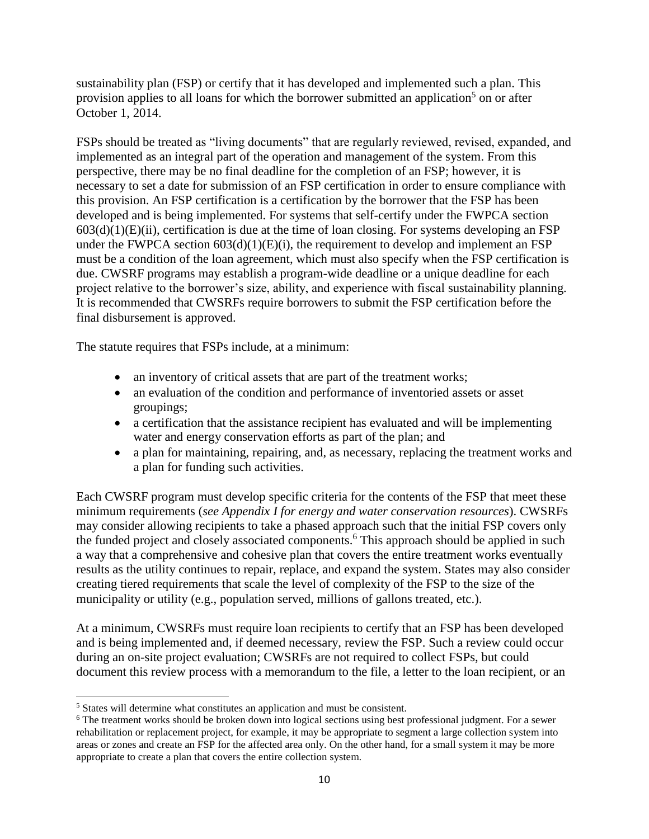sustainability plan (FSP) or certify that it has developed and implemented such a plan. This provision applies to all loans for which the borrower submitted an application<sup>5</sup> on or after October 1, 2014.

FSPs should be treated as "living documents" that are regularly reviewed, revised, expanded, and implemented as an integral part of the operation and management of the system. From this perspective, there may be no final deadline for the completion of an FSP; however, it is necessary to set a date for submission of an FSP certification in order to ensure compliance with this provision. An FSP certification is a certification by the borrower that the FSP has been developed and is being implemented. For systems that self-certify under the FWPCA section  $603(d)(1)(E)(ii)$ , certification is due at the time of loan closing. For systems developing an FSP under the FWPCA section  $603(d)(1)(E)(i)$ , the requirement to develop and implement an FSP must be a condition of the loan agreement, which must also specify when the FSP certification is due. CWSRF programs may establish a program-wide deadline or a unique deadline for each project relative to the borrower's size, ability, and experience with fiscal sustainability planning. It is recommended that CWSRFs require borrowers to submit the FSP certification before the final disbursement is approved.

The statute requires that FSPs include, at a minimum:

- an inventory of critical assets that are part of the treatment works;
- an evaluation of the condition and performance of inventoried assets or asset groupings;
- a certification that the assistance recipient has evaluated and will be implementing water and energy conservation efforts as part of the plan; and
- a plan for maintaining, repairing, and, as necessary, replacing the treatment works and a plan for funding such activities.

Each CWSRF program must develop specific criteria for the contents of the FSP that meet these minimum requirements (*see Appendix I for energy and water conservation resources*). CWSRFs may consider allowing recipients to take a phased approach such that the initial FSP covers only the funded project and closely associated components.<sup>6</sup> This approach should be applied in such a way that a comprehensive and cohesive plan that covers the entire treatment works eventually results as the utility continues to repair, replace, and expand the system. States may also consider creating tiered requirements that scale the level of complexity of the FSP to the size of the municipality or utility (e.g., population served, millions of gallons treated, etc.).

At a minimum, CWSRFs must require loan recipients to certify that an FSP has been developed and is being implemented and, if deemed necessary, review the FSP. Such a review could occur during an on-site project evaluation; CWSRFs are not required to collect FSPs, but could document this review process with a memorandum to the file, a letter to the loan recipient, or an

 $\overline{a}$ 

<sup>5</sup> States will determine what constitutes an application and must be consistent.

<sup>&</sup>lt;sup>6</sup> The treatment works should be broken down into logical sections using best professional judgment. For a sewer rehabilitation or replacement project, for example, it may be appropriate to segment a large collection system into areas or zones and create an FSP for the affected area only. On the other hand, for a small system it may be more appropriate to create a plan that covers the entire collection system.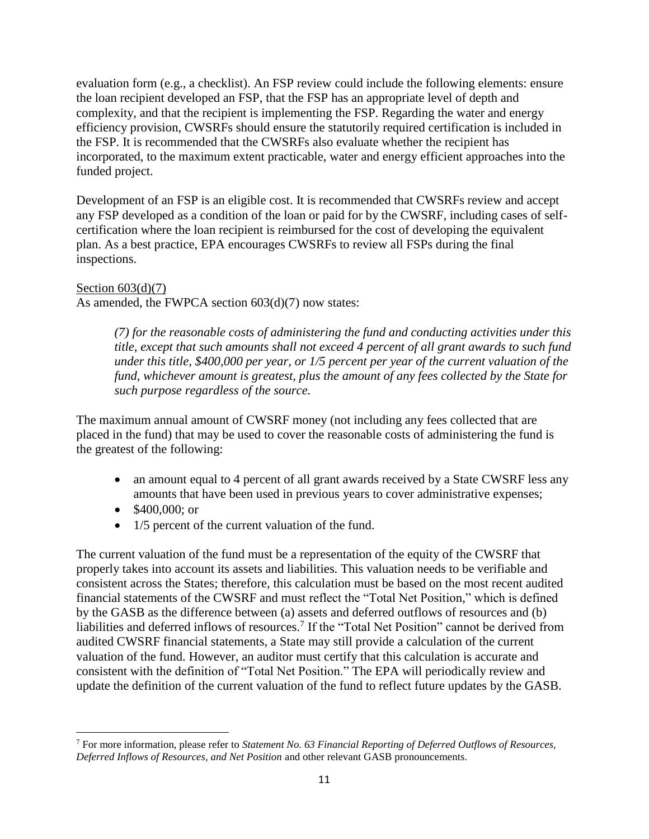evaluation form (e.g., a checklist). An FSP review could include the following elements: ensure the loan recipient developed an FSP, that the FSP has an appropriate level of depth and complexity, and that the recipient is implementing the FSP. Regarding the water and energy efficiency provision, CWSRFs should ensure the statutorily required certification is included in the FSP. It is recommended that the CWSRFs also evaluate whether the recipient has incorporated, to the maximum extent practicable, water and energy efficient approaches into the funded project.

Development of an FSP is an eligible cost. It is recommended that CWSRFs review and accept any FSP developed as a condition of the loan or paid for by the CWSRF, including cases of selfcertification where the loan recipient is reimbursed for the cost of developing the equivalent plan. As a best practice, EPA encourages CWSRFs to review all FSPs during the final inspections.

#### Section  $603(d)(7)$

As amended, the FWPCA section 603(d)(7) now states:

*(7) for the reasonable costs of administering the fund and conducting activities under this title, except that such amounts shall not exceed 4 percent of all grant awards to such fund under this title, \$400,000 per year, or 1/5 percent per year of the current valuation of the fund, whichever amount is greatest, plus the amount of any fees collected by the State for such purpose regardless of the source.*

The maximum annual amount of CWSRF money (not including any fees collected that are placed in the fund) that may be used to cover the reasonable costs of administering the fund is the greatest of the following:

- an amount equal to 4 percent of all grant awards received by a State CWSRF less any amounts that have been used in previous years to cover administrative expenses;
- $\bullet$  \$400,000; or

 $\overline{\phantom{a}}$ 

• 1/5 percent of the current valuation of the fund.

The current valuation of the fund must be a representation of the equity of the CWSRF that properly takes into account its assets and liabilities. This valuation needs to be verifiable and consistent across the States; therefore, this calculation must be based on the most recent audited financial statements of the CWSRF and must reflect the "Total Net Position," which is defined by the GASB as the difference between (a) assets and deferred outflows of resources and (b) liabilities and deferred inflows of resources.<sup>7</sup> If the "Total Net Position" cannot be derived from audited CWSRF financial statements, a State may still provide a calculation of the current valuation of the fund. However, an auditor must certify that this calculation is accurate and consistent with the definition of "Total Net Position." The EPA will periodically review and update the definition of the current valuation of the fund to reflect future updates by the GASB.

<sup>7</sup> For more information, please refer to *Statement No. 63 Financial Reporting of Deferred Outflows of Resources, Deferred Inflows of Resources, and Net Position* and other relevant GASB pronouncements.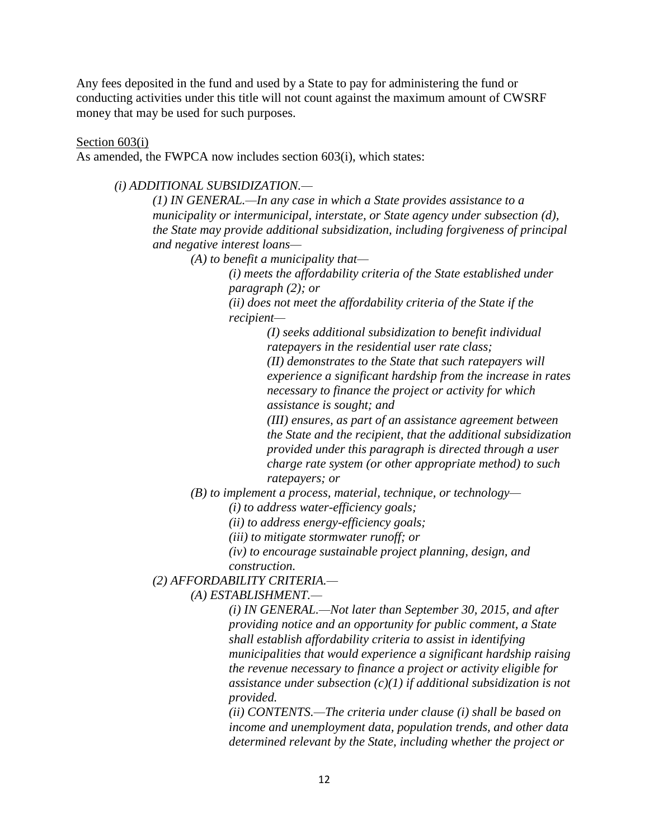Any fees deposited in the fund and used by a State to pay for administering the fund or conducting activities under this title will not count against the maximum amount of CWSRF money that may be used for such purposes.

Section 603(i)

As amended, the FWPCA now includes section 603(i), which states:

#### *(i) ADDITIONAL SUBSIDIZATION.—*

*(1) IN GENERAL.—In any case in which a State provides assistance to a municipality or intermunicipal, interstate, or State agency under subsection (d), the State may provide additional subsidization, including forgiveness of principal and negative interest loans—*

*(A) to benefit a municipality that—*

*(i) meets the affordability criteria of the State established under paragraph (2); or*

*(ii) does not meet the affordability criteria of the State if the recipient—*

> *(I) seeks additional subsidization to benefit individual ratepayers in the residential user rate class;*

*(II) demonstrates to the State that such ratepayers will experience a significant hardship from the increase in rates necessary to finance the project or activity for which assistance is sought; and*

*(III) ensures, as part of an assistance agreement between the State and the recipient, that the additional subsidization provided under this paragraph is directed through a user charge rate system (or other appropriate method) to such ratepayers; or*

*(B) to implement a process, material, technique, or technology—*

*(i) to address water-efficiency goals;*

*(ii) to address energy-efficiency goals;*

*(iii) to mitigate stormwater runoff; or*

*(iv) to encourage sustainable project planning, design, and construction.*

#### *(2) AFFORDABILITY CRITERIA.—*

*(A) ESTABLISHMENT.—*

*(i) IN GENERAL.—Not later than September 30, 2015, and after providing notice and an opportunity for public comment, a State shall establish affordability criteria to assist in identifying municipalities that would experience a significant hardship raising the revenue necessary to finance a project or activity eligible for assistance under subsection (c)(1) if additional subsidization is not provided.*

*(ii) CONTENTS.—The criteria under clause (i) shall be based on income and unemployment data, population trends, and other data determined relevant by the State, including whether the project or*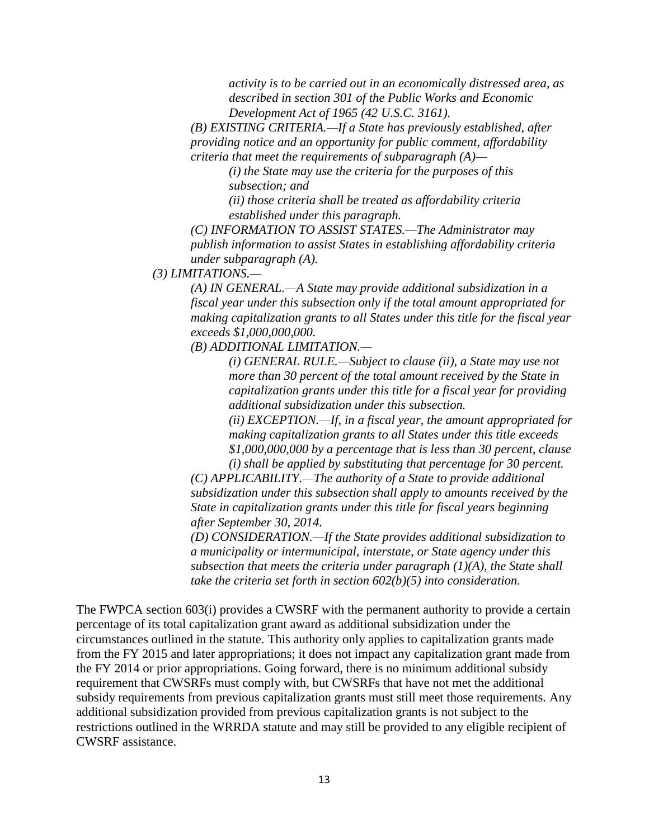*activity is to be carried out in an economically distressed area, as described in section 301 of the Public Works and Economic Development Act of 1965 (42 U.S.C. 3161).*

*(B) EXISTING CRITERIA.—If a State has previously established, after providing notice and an opportunity for public comment, affordability criteria that meet the requirements of subparagraph (A)—*

*(i) the State may use the criteria for the purposes of this subsection; and*

*(ii) those criteria shall be treated as affordability criteria established under this paragraph.*

*(C) INFORMATION TO ASSIST STATES.—The Administrator may publish information to assist States in establishing affordability criteria under subparagraph (A).*

*(3) LIMITATIONS.—*

*(A) IN GENERAL.—A State may provide additional subsidization in a fiscal year under this subsection only if the total amount appropriated for making capitalization grants to all States under this title for the fiscal year exceeds \$1,000,000,000.*

*(B) ADDITIONAL LIMITATION.—*

*(i) GENERAL RULE.—Subject to clause (ii), a State may use not more than 30 percent of the total amount received by the State in capitalization grants under this title for a fiscal year for providing additional subsidization under this subsection.*

*(ii) EXCEPTION.—If, in a fiscal year, the amount appropriated for making capitalization grants to all States under this title exceeds \$1,000,000,000 by a percentage that is less than 30 percent, clause* 

*(i) shall be applied by substituting that percentage for 30 percent. (C) APPLICABILITY.—The authority of a State to provide additional subsidization under this subsection shall apply to amounts received by the State in capitalization grants under this title for fiscal years beginning after September 30, 2014.*

*(D) CONSIDERATION.—If the State provides additional subsidization to a municipality or intermunicipal, interstate, or State agency under this subsection that meets the criteria under paragraph (1)(A), the State shall take the criteria set forth in section 602(b)(5) into consideration.*

The FWPCA section 603(i) provides a CWSRF with the permanent authority to provide a certain percentage of its total capitalization grant award as additional subsidization under the circumstances outlined in the statute. This authority only applies to capitalization grants made from the FY 2015 and later appropriations; it does not impact any capitalization grant made from the FY 2014 or prior appropriations. Going forward, there is no minimum additional subsidy requirement that CWSRFs must comply with, but CWSRFs that have not met the additional subsidy requirements from previous capitalization grants must still meet those requirements. Any additional subsidization provided from previous capitalization grants is not subject to the restrictions outlined in the WRRDA statute and may still be provided to any eligible recipient of CWSRF assistance.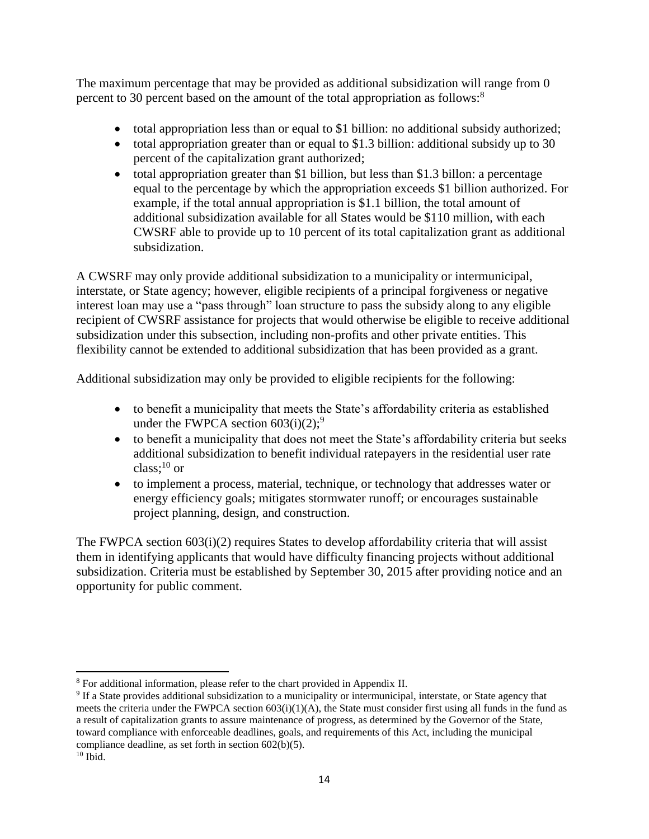The maximum percentage that may be provided as additional subsidization will range from 0 percent to 30 percent based on the amount of the total appropriation as follows:<sup>8</sup>

- total appropriation less than or equal to \$1 billion: no additional subsidy authorized;
- total appropriation greater than or equal to \$1.3 billion: additional subsidy up to 30 percent of the capitalization grant authorized;
- total appropriation greater than \$1 billion, but less than \$1.3 billon: a percentage equal to the percentage by which the appropriation exceeds \$1 billion authorized. For example, if the total annual appropriation is \$1.1 billion, the total amount of additional subsidization available for all States would be \$110 million, with each CWSRF able to provide up to 10 percent of its total capitalization grant as additional subsidization.

A CWSRF may only provide additional subsidization to a municipality or intermunicipal, interstate, or State agency; however, eligible recipients of a principal forgiveness or negative interest loan may use a "pass through" loan structure to pass the subsidy along to any eligible recipient of CWSRF assistance for projects that would otherwise be eligible to receive additional subsidization under this subsection, including non-profits and other private entities. This flexibility cannot be extended to additional subsidization that has been provided as a grant.

Additional subsidization may only be provided to eligible recipients for the following:

- to benefit a municipality that meets the State's affordability criteria as established under the FWPCA section  $603(i)(2)$ ;<sup>9</sup>
- to benefit a municipality that does not meet the State's affordability criteria but seeks additional subsidization to benefit individual ratepayers in the residential user rate class; $^{10}$  or
- to implement a process, material, technique, or technology that addresses water or energy efficiency goals; mitigates stormwater runoff; or encourages sustainable project planning, design, and construction.

The FWPCA section 603(i)(2) requires States to develop affordability criteria that will assist them in identifying applicants that would have difficulty financing projects without additional subsidization. Criteria must be established by September 30, 2015 after providing notice and an opportunity for public comment.

 $\overline{\phantom{a}}$ <sup>8</sup> For additional information, please refer to the chart provided in Appendix II.

<sup>&</sup>lt;sup>9</sup> If a State provides additional subsidization to a municipality or intermunicipal, interstate, or State agency that meets the criteria under the FWPCA section  $603(i)(1)(A)$ , the State must consider first using all funds in the fund as a result of capitalization grants to assure maintenance of progress, as determined by the Governor of the State, toward compliance with enforceable deadlines, goals, and requirements of this Act, including the municipal compliance deadline, as set forth in section 602(b)(5).

 $10$  Ibid.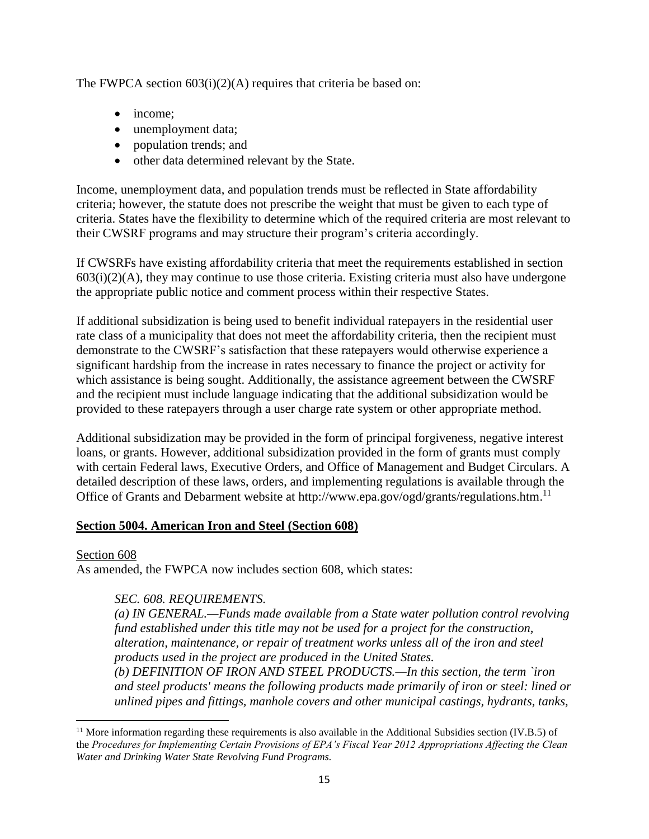The FWPCA section 603(i)(2)(A) requires that criteria be based on:

- income;
- unemployment data;
- population trends; and
- other data determined relevant by the State.

Income, unemployment data, and population trends must be reflected in State affordability criteria; however, the statute does not prescribe the weight that must be given to each type of criteria. States have the flexibility to determine which of the required criteria are most relevant to their CWSRF programs and may structure their program's criteria accordingly.

If CWSRFs have existing affordability criteria that meet the requirements established in section  $603(i)(2)(A)$ , they may continue to use those criteria. Existing criteria must also have undergone the appropriate public notice and comment process within their respective States.

If additional subsidization is being used to benefit individual ratepayers in the residential user rate class of a municipality that does not meet the affordability criteria, then the recipient must demonstrate to the CWSRF's satisfaction that these ratepayers would otherwise experience a significant hardship from the increase in rates necessary to finance the project or activity for which assistance is being sought. Additionally, the assistance agreement between the CWSRF and the recipient must include language indicating that the additional subsidization would be provided to these ratepayers through a user charge rate system or other appropriate method.

Additional subsidization may be provided in the form of principal forgiveness, negative interest loans, or grants. However, additional subsidization provided in the form of grants must comply with certain Federal laws, Executive Orders, and Office of Management and Budget Circulars. A detailed description of these laws, orders, and implementing regulations is available through the Office of Grants and Debarment website at http://www.epa.gov/ogd/grants/regulations.htm.<sup>11</sup>

### **Section 5004. American Iron and Steel (Section 608)**

#### Section 608

 $\overline{\phantom{a}}$ 

As amended, the FWPCA now includes section 608, which states:

### *SEC. 608. REQUIREMENTS.*

*(a) IN GENERAL.—Funds made available from a State water pollution control revolving fund established under this title may not be used for a project for the construction, alteration, maintenance, or repair of treatment works unless all of the iron and steel products used in the project are produced in the United States.*

*(b) DEFINITION OF IRON AND STEEL PRODUCTS.—In this section, the term `iron and steel products' means the following products made primarily of iron or steel: lined or unlined pipes and fittings, manhole covers and other municipal castings, hydrants, tanks,* 

 $11$  More information regarding these requirements is also available in the Additional Subsidies section (IV.B.5) of the *Procedures for Implementing Certain Provisions of EPA's Fiscal Year 2012 Appropriations Affecting the Clean Water and Drinking Water State Revolving Fund Programs.*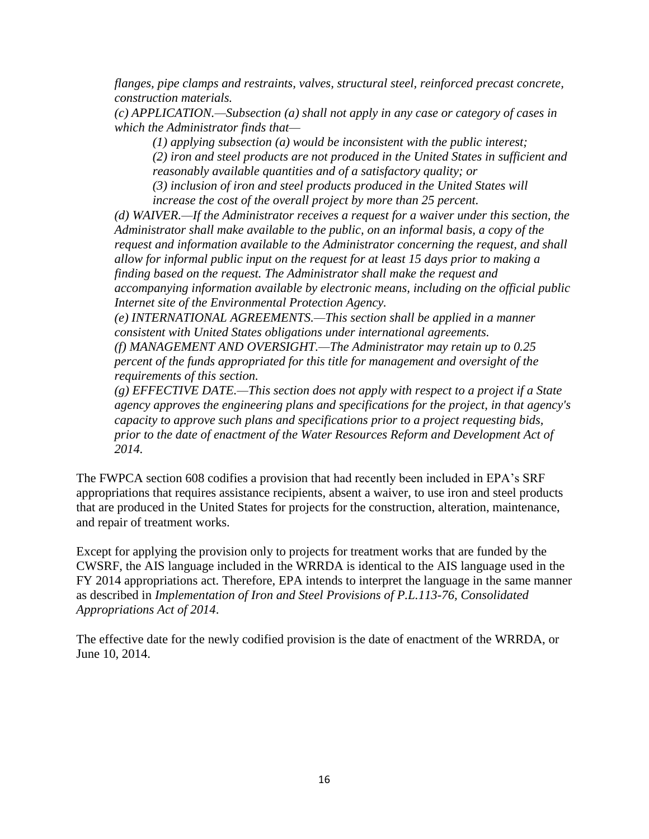*flanges, pipe clamps and restraints, valves, structural steel, reinforced precast concrete, construction materials.*

*(c) APPLICATION.—Subsection (a) shall not apply in any case or category of cases in which the Administrator finds that—*

*(1) applying subsection (a) would be inconsistent with the public interest; (2) iron and steel products are not produced in the United States in sufficient and reasonably available quantities and of a satisfactory quality; or (3) inclusion of iron and steel products produced in the United States will* 

*increase the cost of the overall project by more than 25 percent.*

*(d) WAIVER.—If the Administrator receives a request for a waiver under this section, the Administrator shall make available to the public, on an informal basis, a copy of the request and information available to the Administrator concerning the request, and shall allow for informal public input on the request for at least 15 days prior to making a finding based on the request. The Administrator shall make the request and accompanying information available by electronic means, including on the official public Internet site of the Environmental Protection Agency.*

*(e) INTERNATIONAL AGREEMENTS.—This section shall be applied in a manner consistent with United States obligations under international agreements.*

*(f) MANAGEMENT AND OVERSIGHT.—The Administrator may retain up to 0.25 percent of the funds appropriated for this title for management and oversight of the requirements of this section.*

*(g) EFFECTIVE DATE.—This section does not apply with respect to a project if a State agency approves the engineering plans and specifications for the project, in that agency's capacity to approve such plans and specifications prior to a project requesting bids, prior to the date of enactment of the Water Resources Reform and Development Act of 2014.*

The FWPCA section 608 codifies a provision that had recently been included in EPA's SRF appropriations that requires assistance recipients, absent a waiver, to use iron and steel products that are produced in the United States for projects for the construction, alteration, maintenance, and repair of treatment works.

Except for applying the provision only to projects for treatment works that are funded by the CWSRF, the AIS language included in the WRRDA is identical to the AIS language used in the FY 2014 appropriations act. Therefore, EPA intends to interpret the language in the same manner as described in *Implementation of Iron and Steel Provisions of P.L.113-76, Consolidated Appropriations Act of 2014*.

The effective date for the newly codified provision is the date of enactment of the WRRDA, or June 10, 2014.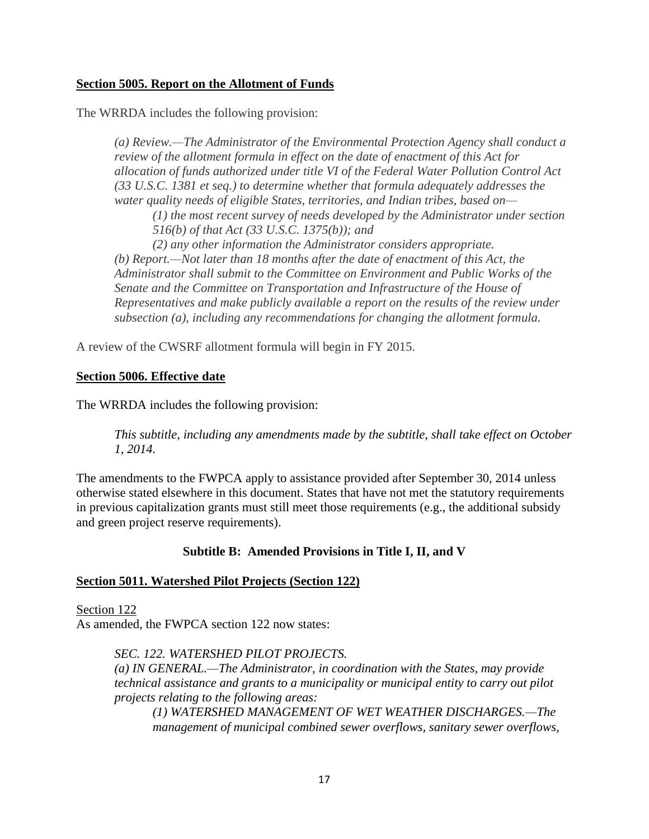### **Section 5005. Report on the Allotment of Funds**

The WRRDA includes the following provision:

*(a) Review.—The Administrator of the Environmental Protection Agency shall conduct a review of the allotment formula in effect on the date of enactment of this Act for allocation of funds authorized under title VI of the Federal Water Pollution Control Act (33 U.S.C. 1381 et seq.) to determine whether that formula adequately addresses the water quality needs of eligible States, territories, and Indian tribes, based on—*

*(1) the most recent survey of needs developed by the Administrator under section 516(b) of that Act (33 U.S.C. 1375(b)); and*

 *(2) any other information the Administrator considers appropriate. (b) Report.—Not later than 18 months after the date of enactment of this Act, the Administrator shall submit to the Committee on Environment and Public Works of the Senate and the Committee on Transportation and Infrastructure of the House of Representatives and make publicly available a report on the results of the review under subsection (a), including any recommendations for changing the allotment formula.*

A review of the CWSRF allotment formula will begin in FY 2015.

### **Section 5006. Effective date**

The WRRDA includes the following provision:

*This subtitle, including any amendments made by the subtitle, shall take effect on October 1, 2014.*

The amendments to the FWPCA apply to assistance provided after September 30, 2014 unless otherwise stated elsewhere in this document. States that have not met the statutory requirements in previous capitalization grants must still meet those requirements (e.g., the additional subsidy and green project reserve requirements).

### **Subtitle B: Amended Provisions in Title I, II, and V**

#### **Section 5011. Watershed Pilot Projects (Section 122)**

Section 122 As amended, the FWPCA section 122 now states:

#### *SEC. 122. WATERSHED PILOT PROJECTS.*

*(a) IN GENERAL.—The Administrator, in coordination with the States, may provide technical assistance and grants to a municipality or municipal entity to carry out pilot projects relating to the following areas:*

*(1) WATERSHED MANAGEMENT OF WET WEATHER DISCHARGES.—The management of municipal combined sewer overflows, sanitary sewer overflows,*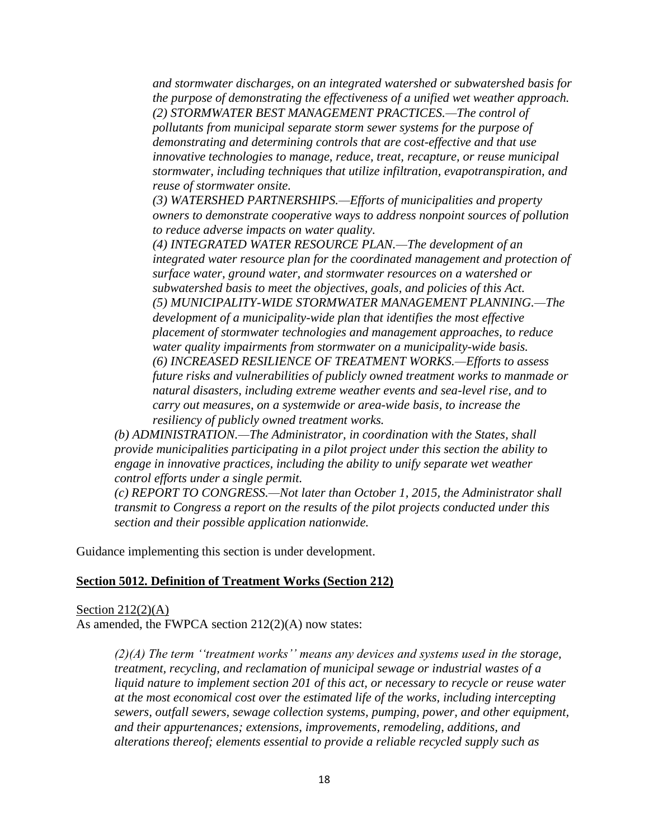*and stormwater discharges, on an integrated watershed or subwatershed basis for the purpose of demonstrating the effectiveness of a unified wet weather approach. (2) STORMWATER BEST MANAGEMENT PRACTICES.—The control of pollutants from municipal separate storm sewer systems for the purpose of demonstrating and determining controls that are cost-effective and that use innovative technologies to manage, reduce, treat, recapture, or reuse municipal stormwater, including techniques that utilize infiltration, evapotranspiration, and reuse of stormwater onsite.*

*(3) WATERSHED PARTNERSHIPS.—Efforts of municipalities and property owners to demonstrate cooperative ways to address nonpoint sources of pollution to reduce adverse impacts on water quality.*

*(4) INTEGRATED WATER RESOURCE PLAN.—The development of an integrated water resource plan for the coordinated management and protection of surface water, ground water, and stormwater resources on a watershed or subwatershed basis to meet the objectives, goals, and policies of this Act. (5) MUNICIPALITY-WIDE STORMWATER MANAGEMENT PLANNING.—The development of a municipality-wide plan that identifies the most effective placement of stormwater technologies and management approaches, to reduce water quality impairments from stormwater on a municipality-wide basis. (6) INCREASED RESILIENCE OF TREATMENT WORKS.—Efforts to assess future risks and vulnerabilities of publicly owned treatment works to manmade or natural disasters, including extreme weather events and sea-level rise, and to carry out measures, on a systemwide or area-wide basis, to increase the resiliency of publicly owned treatment works.*

*(b) ADMINISTRATION.—The Administrator, in coordination with the States, shall provide municipalities participating in a pilot project under this section the ability to engage in innovative practices, including the ability to unify separate wet weather control efforts under a single permit.*

*(c) REPORT TO CONGRESS.—Not later than October 1, 2015, the Administrator shall transmit to Congress a report on the results of the pilot projects conducted under this section and their possible application nationwide.*

Guidance implementing this section is under development.

#### **Section 5012. Definition of Treatment Works (Section 212)**

Section  $212(2)(A)$ As amended, the FWPCA section 212(2)(A) now states:

> *(2)(A) The term ''treatment works'' means any devices and systems used in the storage, treatment, recycling, and reclamation of municipal sewage or industrial wastes of a liquid nature to implement section 201 of this act, or necessary to recycle or reuse water at the most economical cost over the estimated life of the works, including intercepting sewers, outfall sewers, sewage collection systems, pumping, power, and other equipment, and their appurtenances; extensions, improvements, remodeling, additions, and alterations thereof; elements essential to provide a reliable recycled supply such as*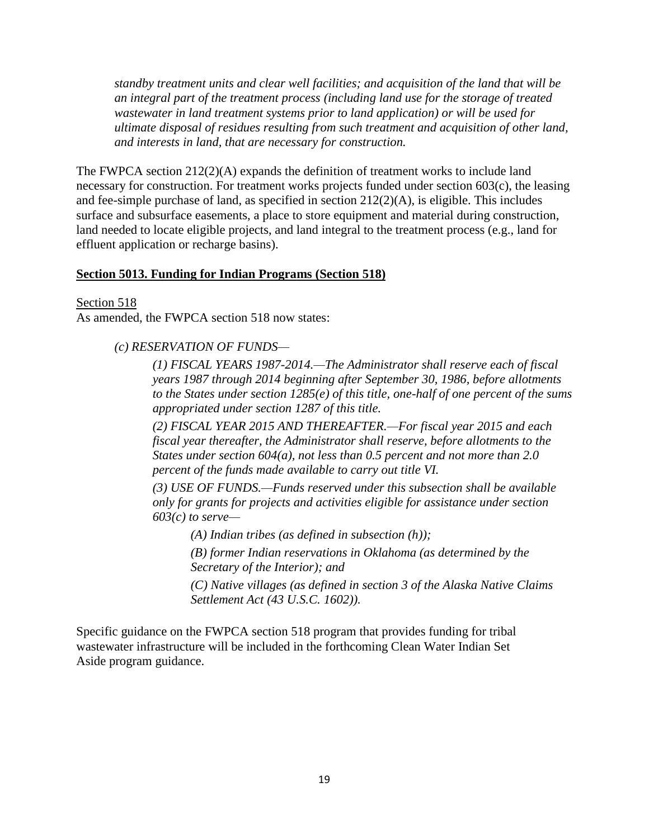*standby treatment units and clear well facilities; and acquisition of the land that will be an integral part of the treatment process (including land use for the storage of treated wastewater in land treatment systems prior to land application) or will be used for ultimate disposal of residues resulting from such treatment and acquisition of other land, and interests in land, that are necessary for construction.*

The FWPCA section  $212(2)$ (A) expands the definition of treatment works to include land necessary for construction. For treatment works projects funded under section 603(c), the leasing and fee-simple purchase of land, as specified in section 212(2)(A), is eligible. This includes surface and subsurface easements, a place to store equipment and material during construction, land needed to locate eligible projects, and land integral to the treatment process (e.g., land for effluent application or recharge basins).

#### **Section 5013. Funding for Indian Programs (Section 518)**

Section 518

As amended, the FWPCA section 518 now states:

#### *(c) RESERVATION OF FUNDS—*

*(1) FISCAL YEARS 1987-2014.—The Administrator shall reserve each of fiscal years 1987 through 2014 beginning after September 30, 1986, before allotments to the States under section 1285(e) of this title, one-half of one percent of the sums appropriated under section 1287 of this title.* 

*(2) FISCAL YEAR 2015 AND THEREAFTER.—For fiscal year 2015 and each fiscal year thereafter, the Administrator shall reserve, before allotments to the States under section 604(a), not less than 0.5 percent and not more than 2.0 percent of the funds made available to carry out title VI.* 

*(3) USE OF FUNDS.—Funds reserved under this subsection shall be available only for grants for projects and activities eligible for assistance under section 603(c) to serve—*

*(A) Indian tribes (as defined in subsection (h));*

*(B) former Indian reservations in Oklahoma (as determined by the Secretary of the Interior); and*

*(C) Native villages (as defined in section 3 of the Alaska Native Claims Settlement Act (43 U.S.C. 1602)).*

Specific guidance on the FWPCA section 518 program that provides funding for tribal wastewater infrastructure will be included in the forthcoming Clean Water Indian Set Aside program guidance.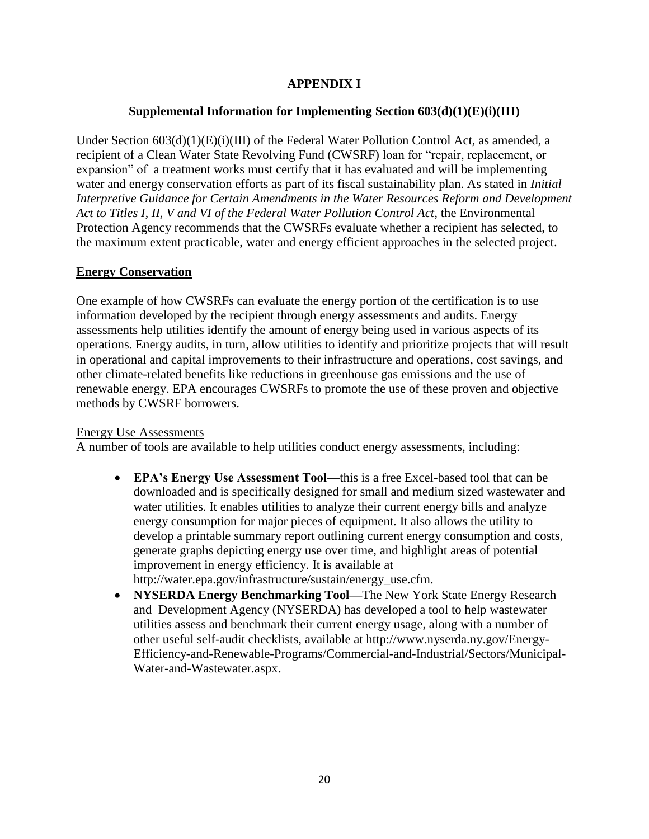### **APPENDIX I**

### **Supplemental Information for Implementing Section 603(d)(1)(E)(i)(III)**

Under Section  $603(d)(1)(E)(i)(III)$  of the Federal Water Pollution Control Act, as amended, a recipient of a Clean Water State Revolving Fund (CWSRF) loan for "repair, replacement, or expansion" of a treatment works must certify that it has evaluated and will be implementing water and energy conservation efforts as part of its fiscal sustainability plan. As stated in *Initial Interpretive Guidance for Certain Amendments in the Water Resources Reform and Development Act to Titles I, II, V and VI of the Federal Water Pollution Control Act*, the Environmental Protection Agency recommends that the CWSRFs evaluate whether a recipient has selected, to the maximum extent practicable, water and energy efficient approaches in the selected project.

#### **Energy Conservation**

One example of how CWSRFs can evaluate the energy portion of the certification is to use information developed by the recipient through energy assessments and audits. Energy assessments help utilities identify the amount of energy being used in various aspects of its operations. Energy audits, in turn, allow utilities to identify and prioritize projects that will result in operational and capital improvements to their infrastructure and operations, cost savings, and other climate-related benefits like reductions in greenhouse gas emissions and the use of renewable energy. EPA encourages CWSRFs to promote the use of these proven and objective methods by CWSRF borrowers.

#### Energy Use Assessments

A number of tools are available to help utilities conduct energy assessments, including:

- **EPA's Energy Use Assessment Tool—**this is a free Excel-based tool that can be downloaded and is specifically designed for small and medium sized wastewater and water utilities. It enables utilities to analyze their current energy bills and analyze energy consumption for major pieces of equipment. It also allows the utility to develop a printable summary report outlining current energy consumption and costs, generate graphs depicting energy use over time, and highlight areas of potential improvement in energy efficiency. It is available at http://water.epa.gov/infrastructure/sustain/energy\_use.cfm.
- **NYSERDA Energy Benchmarking Tool—**The New York State Energy Research and Development Agency (NYSERDA) has developed a tool to help wastewater utilities assess and benchmark their current energy usage, along with a number of other useful self-audit checklists, available at http://www.nyserda.ny.gov/Energy-Efficiency-and-Renewable-Programs/Commercial-and-Industrial/Sectors/Municipal-Water-and-Wastewater.aspx.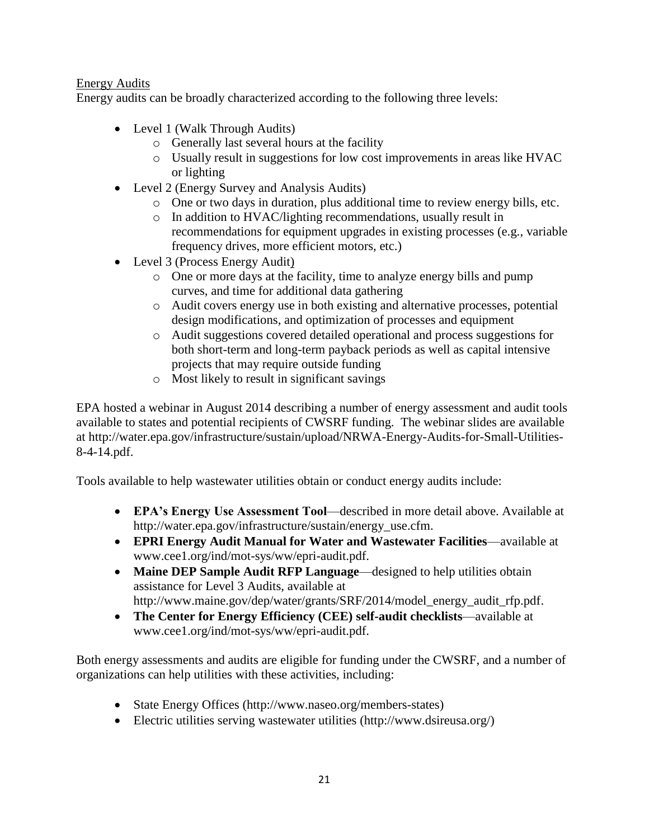### Energy Audits

Energy audits can be broadly characterized according to the following three levels:

- Level 1 (Walk Through Audits)
	- o Generally last several hours at the facility
	- o Usually result in suggestions for low cost improvements in areas like HVAC or lighting
- Level 2 (Energy Survey and Analysis Audits)
	- o One or two days in duration, plus additional time to review energy bills, etc.
	- o In addition to HVAC/lighting recommendations, usually result in recommendations for equipment upgrades in existing processes (e.g., variable frequency drives, more efficient motors, etc.)
- Level 3 (Process Energy Audit)
	- o One or more days at the facility, time to analyze energy bills and pump curves, and time for additional data gathering
	- o Audit covers energy use in both existing and alternative processes, potential design modifications, and optimization of processes and equipment
	- o Audit suggestions covered detailed operational and process suggestions for both short-term and long-term payback periods as well as capital intensive projects that may require outside funding
	- o Most likely to result in significant savings

EPA hosted a webinar in August 2014 describing a number of energy assessment and audit tools available to states and potential recipients of CWSRF funding. The webinar slides are available at http://water.epa.gov/infrastructure/sustain/upload/NRWA-Energy-Audits-for-Small-Utilities-8-4-14.pdf.

Tools available to help wastewater utilities obtain or conduct energy audits include:

- **EPA's Energy Use Assessment Tool**—described in more detail above. Available at http://water.epa.gov/infrastructure/sustain/energy\_use.cfm.
- **EPRI Energy Audit Manual for Water and Wastewater Facilities**—available at www.cee1.org/ind/mot-sys/ww/epri-audit.pdf.
- **Maine DEP Sample Audit RFP Language**—designed to help utilities obtain assistance for Level 3 Audits, available at http://www.maine.gov/dep/water/grants/SRF/2014/model\_energy\_audit\_rfp.pdf.
- **The Center for Energy Efficiency (CEE) self-audit checklists**—available at www.cee1.org/ind/mot-sys/ww/epri-audit.pdf.

Both energy assessments and audits are eligible for funding under the CWSRF, and a number of organizations can help utilities with these activities, including:

- State Energy Offices (http://www.naseo.org/members-states)
- Electric utilities serving wastewater utilities (http://www.dsireusa.org/)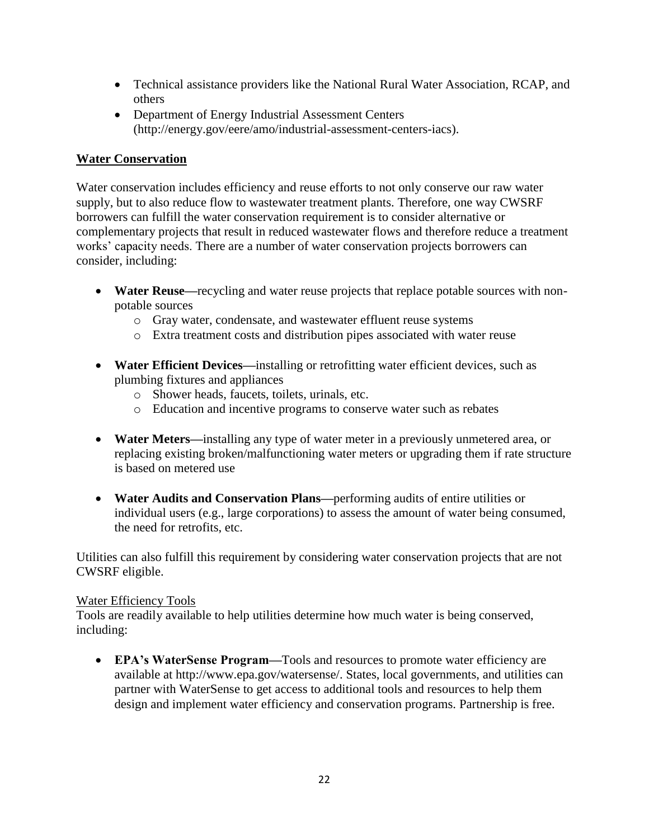- Technical assistance providers like the National Rural Water Association, RCAP, and others
- Department of Energy Industrial Assessment Centers (http://energy.gov/eere/amo/industrial-assessment-centers-iacs).

### **Water Conservation**

Water conservation includes efficiency and reuse efforts to not only conserve our raw water supply, but to also reduce flow to wastewater treatment plants. Therefore, one way CWSRF borrowers can fulfill the water conservation requirement is to consider alternative or complementary projects that result in reduced wastewater flows and therefore reduce a treatment works' capacity needs. There are a number of water conservation projects borrowers can consider, including:

- **Water Reuse—**recycling and water reuse projects that replace potable sources with nonpotable sources
	- o Gray water, condensate, and wastewater effluent reuse systems
	- o Extra treatment costs and distribution pipes associated with water reuse
- **Water Efficient Devices—**installing or retrofitting water efficient devices, such as plumbing fixtures and appliances
	- o Shower heads, faucets, toilets, urinals, etc.
	- o Education and incentive programs to conserve water such as rebates
- **Water Meters—**installing any type of water meter in a previously unmetered area, or replacing existing broken/malfunctioning water meters or upgrading them if rate structure is based on metered use
- **Water Audits and Conservation Plans—**performing audits of entire utilities or individual users (e.g., large corporations) to assess the amount of water being consumed, the need for retrofits, etc.

Utilities can also fulfill this requirement by considering water conservation projects that are not CWSRF eligible.

### Water Efficiency Tools

Tools are readily available to help utilities determine how much water is being conserved, including:

 **EPA's WaterSense Program—**Tools and resources to promote water efficiency are available at http://www.epa.gov/watersense/. States, local governments, and utilities can partner with WaterSense to get access to additional tools and resources to help them design and implement water efficiency and conservation programs. Partnership is free.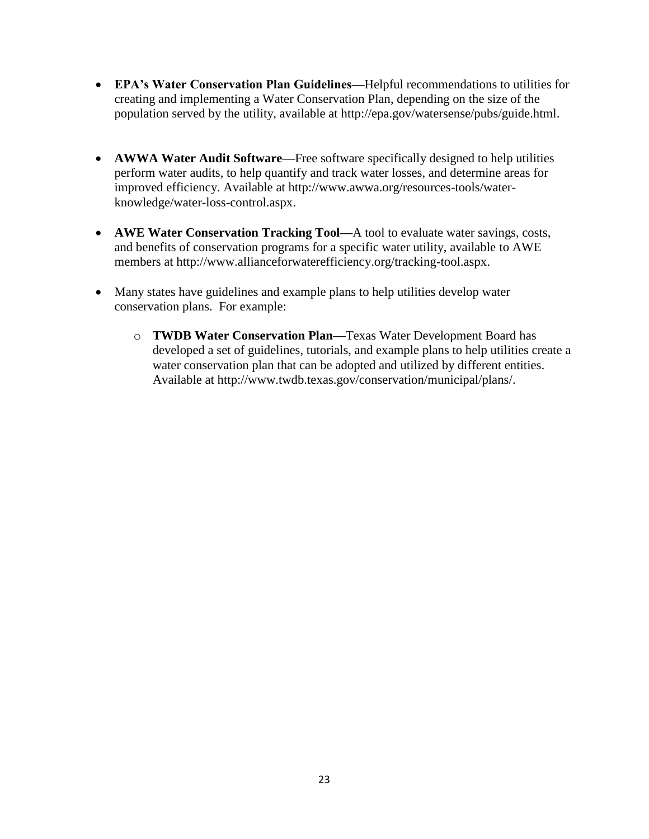- **EPA's Water Conservation Plan Guidelines—**Helpful recommendations to utilities for creating and implementing a Water Conservation Plan, depending on the size of the population served by the utility, available at http://epa.gov/watersense/pubs/guide.html.
- **AWWA Water Audit Software—**Free software specifically designed to help utilities perform water audits, to help quantify and track water losses, and determine areas for improved efficiency. Available at http://www.awwa.org/resources-tools/waterknowledge/water-loss-control.aspx.
- **AWE Water Conservation Tracking Tool—**A tool to evaluate water savings, costs, and benefits of conservation programs for a specific water utility, available to AWE members at http://www.allianceforwaterefficiency.org/tracking-tool.aspx.
- Many states have guidelines and example plans to help utilities develop water conservation plans. For example:
	- o **TWDB Water Conservation Plan—**Texas Water Development Board has developed a set of guidelines, tutorials, and example plans to help utilities create a water conservation plan that can be adopted and utilized by different entities. Available at http://www.twdb.texas.gov/conservation/municipal/plans/.